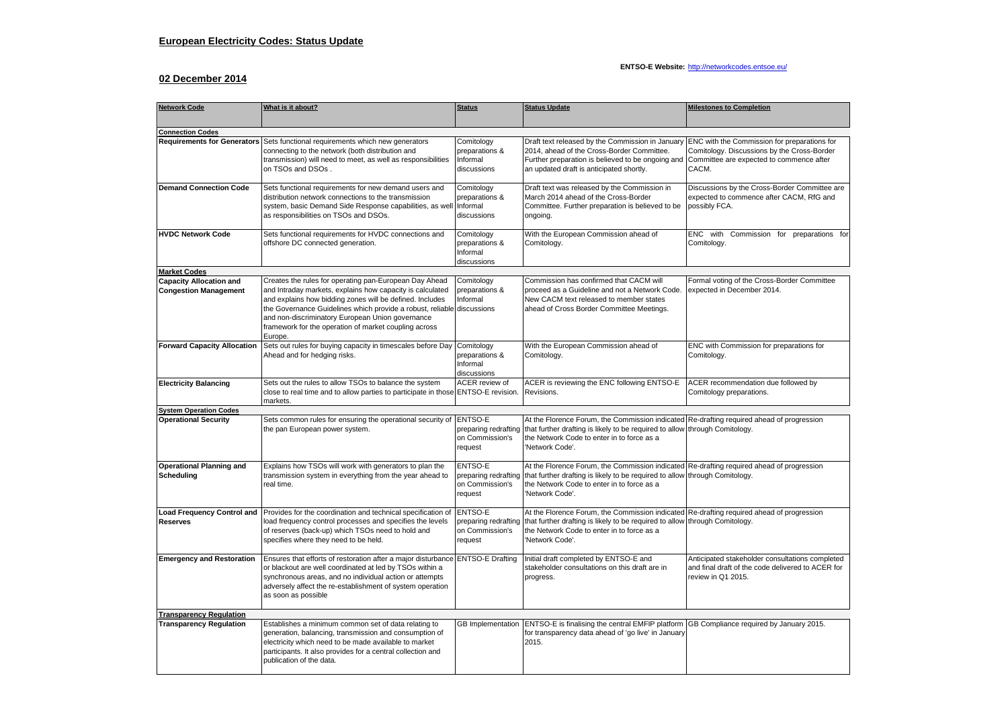## **ENTSO-E Website:** <http://networkcodes.entsoe.eu/>

## **02 December 2014**

| <b>Network Code</b>                                            | What is it about?                                                                                                                                                                                                                                                                                                                                                                 | <b>Status</b>                                                 | <b>Status Update</b>                                                                                                                                                                                                                                                                  | <b>Milestones to Completion</b>                                                                                            |  |  |  |  |  |
|----------------------------------------------------------------|-----------------------------------------------------------------------------------------------------------------------------------------------------------------------------------------------------------------------------------------------------------------------------------------------------------------------------------------------------------------------------------|---------------------------------------------------------------|---------------------------------------------------------------------------------------------------------------------------------------------------------------------------------------------------------------------------------------------------------------------------------------|----------------------------------------------------------------------------------------------------------------------------|--|--|--|--|--|
|                                                                |                                                                                                                                                                                                                                                                                                                                                                                   |                                                               |                                                                                                                                                                                                                                                                                       |                                                                                                                            |  |  |  |  |  |
| <b>Connection Codes</b>                                        |                                                                                                                                                                                                                                                                                                                                                                                   |                                                               |                                                                                                                                                                                                                                                                                       |                                                                                                                            |  |  |  |  |  |
| <b>Requirements for Generators</b>                             | Sets functional requirements which new generators<br>connecting to the network (both distribution and<br>transmission) will need to meet, as well as responsibilities<br>on TSOs and DSOs.                                                                                                                                                                                        | Comitology<br>preparations &<br>Informal<br>discussions       | Draft text released by the Commission in January ENC with the Commission for preparations for<br>2014, ahead of the Cross-Border Committee.<br>Further preparation is believed to be ongoing and Committee are expected to commence after<br>an updated draft is anticipated shortly. | Comitology. Discussions by the Cross-Border<br>CACM.                                                                       |  |  |  |  |  |
| <b>Demand Connection Code</b>                                  | Sets functional requirements for new demand users and<br>distribution network connections to the transmission<br>system, basic Demand Side Response capabilities, as well<br>as responsibilities on TSOs and DSOs.                                                                                                                                                                | Comitology<br>preparations &<br>Informal<br>discussions       | Draft text was released by the Commission in<br>March 2014 ahead of the Cross-Border<br>Committee. Further preparation is believed to be<br>ongoing.                                                                                                                                  | Discussions by the Cross-Border Committee are<br>expected to commence after CACM, RfG and<br>possibly FCA.                 |  |  |  |  |  |
| <b>HVDC Network Code</b>                                       | Sets functional requirements for HVDC connections and<br>offshore DC connected generation.                                                                                                                                                                                                                                                                                        | Comitology<br>preparations &<br>Informal<br>discussions       | With the European Commission ahead of<br>Comitology.                                                                                                                                                                                                                                  | ENC with Commission for preparations for<br>Comitology.                                                                    |  |  |  |  |  |
| <b>Market Codes</b>                                            |                                                                                                                                                                                                                                                                                                                                                                                   |                                                               |                                                                                                                                                                                                                                                                                       |                                                                                                                            |  |  |  |  |  |
| <b>Capacity Allocation and</b><br><b>Congestion Management</b> | Creates the rules for operating pan-European Day Ahead<br>and Intraday markets, explains how capacity is calculated<br>and explains how bidding zones will be defined. Includes<br>the Governance Guidelines which provide a robust, reliable discussions<br>and non-discriminatory European Union governance<br>framework for the operation of market coupling across<br>Europe. | Comitology<br>preparations &<br>Informal                      | Commission has confirmed that CACM will<br>proceed as a Guideline and not a Network Code.<br>New CACM text released to member states<br>ahead of Cross Border Committee Meetings.                                                                                                     | Formal voting of the Cross-Border Committee<br>expected in December 2014.                                                  |  |  |  |  |  |
| <b>Forward Capacity Allocation</b>                             | Sets out rules for buying capacity in timescales before Day<br>Ahead and for hedging risks.                                                                                                                                                                                                                                                                                       | Comitology<br>preparations &<br>Informal<br>discussions       | With the European Commission ahead of<br>Comitology.                                                                                                                                                                                                                                  | ENC with Commission for preparations for<br>Comitology.                                                                    |  |  |  |  |  |
| <b>Electricity Balancing</b>                                   | Sets out the rules to allow TSOs to balance the system<br>close to real time and to allow parties to participate in those ENTSO-E revision.<br>markets.                                                                                                                                                                                                                           | ACER review of                                                | ACER is reviewing the ENC following ENTSO-E<br>Revisions.                                                                                                                                                                                                                             | ACER recommendation due followed by<br>Comitology preparations.                                                            |  |  |  |  |  |
| <b>System Operation Codes</b>                                  |                                                                                                                                                                                                                                                                                                                                                                                   |                                                               |                                                                                                                                                                                                                                                                                       |                                                                                                                            |  |  |  |  |  |
| <b>Operational Security</b>                                    | Sets common rules for ensuring the operational security of ENTSO-E<br>the pan European power system.                                                                                                                                                                                                                                                                              | on Commission's<br>request                                    | At the Florence Forum, the Commission indicated Re-drafting required ahead of progression<br>preparing redrafting that further drafting is likely to be required to allow through Comitology.<br>the Network Code to enter in to force as a<br>'Network Code'.                        |                                                                                                                            |  |  |  |  |  |
| <b>Operational Planning and</b><br>Scheduling                  | Explains how TSOs will work with generators to plan the<br>transmission system in everything from the year ahead to<br>real time.                                                                                                                                                                                                                                                 | ENTSO-E<br>preparing redrafting<br>on Commission's<br>request | At the Florence Forum, the Commission indicated Re-drafting required ahead of progression<br>that further drafting is likely to be required to allow through Comitology.<br>the Network Code to enter in to force as a<br>'Network Code'.                                             |                                                                                                                            |  |  |  |  |  |
| <b>Load Frequency Control and</b><br><b>Reserves</b>           | Provides for the coordination and technical specification of<br>load frequency control processes and specifies the levels<br>of reserves (back-up) which TSOs need to hold and<br>specifies where they need to be held.                                                                                                                                                           | ENTSO-E<br>preparing redrafting<br>on Commission's<br>request | At the Florence Forum, the Commission indicated Re-drafting required ahead of progression<br>that further drafting is likely to be required to allow through Comitology.<br>the Network Code to enter in to force as a<br>'Network Code'.                                             |                                                                                                                            |  |  |  |  |  |
| <b>Emergency and Restoration</b>                               | Ensures that efforts of restoration after a major disturbance ENTSO-E Drafting<br>or blackout are well coordinated at led by TSOs within a<br>synchronous areas, and no individual action or attempts<br>adversely affect the re-establishment of system operation<br>as soon as possible                                                                                         |                                                               | Initial draft completed by ENTSO-E and<br>stakeholder consultations on this draft are in<br>progress.                                                                                                                                                                                 | Anticipated stakeholder consultations completed<br>and final draft of the code delivered to ACER for<br>review in Q1 2015. |  |  |  |  |  |
| <b>Transparency Regulation</b>                                 |                                                                                                                                                                                                                                                                                                                                                                                   |                                                               |                                                                                                                                                                                                                                                                                       |                                                                                                                            |  |  |  |  |  |
| <b>Transparency Regulation</b>                                 | Establishes a minimum common set of data relating to<br>generation, balancing, transmission and consumption of<br>electricity which need to be made available to market<br>participants. It also provides for a central collection and<br>publication of the data.                                                                                                                |                                                               | GB Implementation ENTSO-E is finalising the central EMFIP platform GB Compliance required by January 2015.<br>for transparency data ahead of 'go live' in January<br>2015.                                                                                                            |                                                                                                                            |  |  |  |  |  |